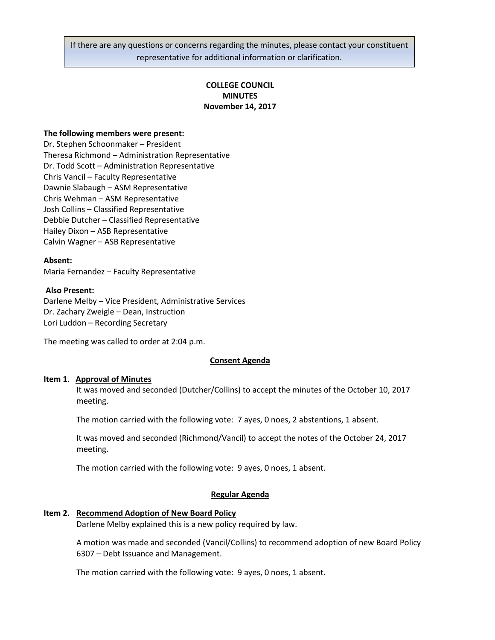If there are any questions or concerns regarding the minutes, please contact your constituent representative for additional information or clarification.

# **COLLEGE COUNCIL MINUTES November 14, 2017**

### **The following members were present:**

Dr. Stephen Schoonmaker – President Theresa Richmond – Administration Representative Dr. Todd Scott – Administration Representative Chris Vancil – Faculty Representative Dawnie Slabaugh – ASM Representative Chris Wehman – ASM Representative Josh Collins – Classified Representative Debbie Dutcher – Classified Representative Hailey Dixon – ASB Representative Calvin Wagner – ASB Representative

#### **Absent:**

Maria Fernandez – Faculty Representative

## **Also Present:**

Darlene Melby – Vice President, Administrative Services Dr. Zachary Zweigle – Dean, Instruction Lori Luddon – Recording Secretary

The meeting was called to order at 2:04 p.m.

#### **Consent Agenda**

#### **Item 1**. **Approval of Minutes**

It was moved and seconded (Dutcher/Collins) to accept the minutes of the October 10, 2017 meeting.

The motion carried with the following vote: 7 ayes, 0 noes, 2 abstentions, 1 absent.

It was moved and seconded (Richmond/Vancil) to accept the notes of the October 24, 2017 meeting.

The motion carried with the following vote: 9 ayes, 0 noes, 1 absent.

#### **Regular Agenda**

#### **Item 2. Recommend Adoption of New Board Policy**

Darlene Melby explained this is a new policy required by law.

A motion was made and seconded (Vancil/Collins) to recommend adoption of new Board Policy 6307 – Debt Issuance and Management.

The motion carried with the following vote: 9 ayes, 0 noes, 1 absent.